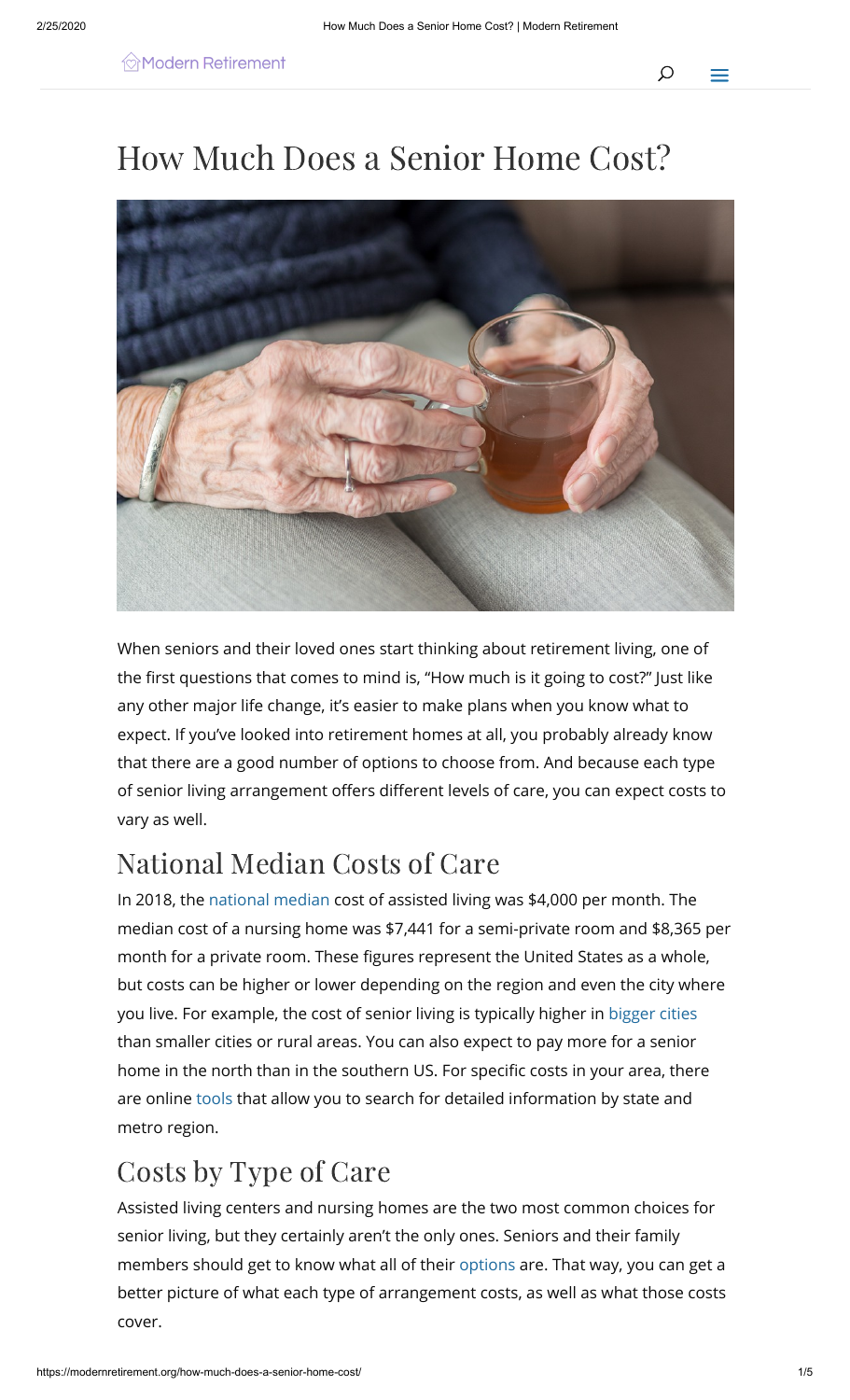# How Much Does a Senior Home Cost?



When seniors and their loved ones start thinking about retirement living, one of the first questions that comes to mind is, "How much is it going to cost?" Just like any other major life change, it's easier to make plans when you know what to expect. If you've looked into retirement homes at all, you probably already know that there are a good number of options to choose from. And because each type of senior living arrangement offers different levels of care, you can expect costs to vary as well.

## National Median Costs of Care

In 2018, the [national median](https://www.genworth.com/aging-and-you/finances/cost-of-care.html) cost of assisted living was \$4,000 per month. The median cost of a nursing home was \$7,441 for a semi-private room and \$8,365 per month for a private room. These figures represent the United States as a whole, but costs can be higher or lower depending on the region and even the city where you live. For example, the cost of senior living is typically higher in [bigger cities](https://www.retirementliving.com/what-does-assisted-living-cost) than smaller cities or rural areas. You can also expect to pay more for a senior home in the north than in the southern US. For specific costs in your area, there are online [tools](https://www.genworth.com/aging-and-you/finances/cost-of-care.html) that allow you to search for detailed information by state and metro region.

### Costs by Type of Care

Assisted living centers and nursing homes are the two most common choices for senior living, but they certainly aren't the only ones. Seniors and their family members should get to know what all of their [options](https://assets.aarp.org/www.aarp.org_/cs/health/ltc_resource_guide.pdf) are. That way, you can get a better picture of what each type of arrangement costs, as well as what those costs cover.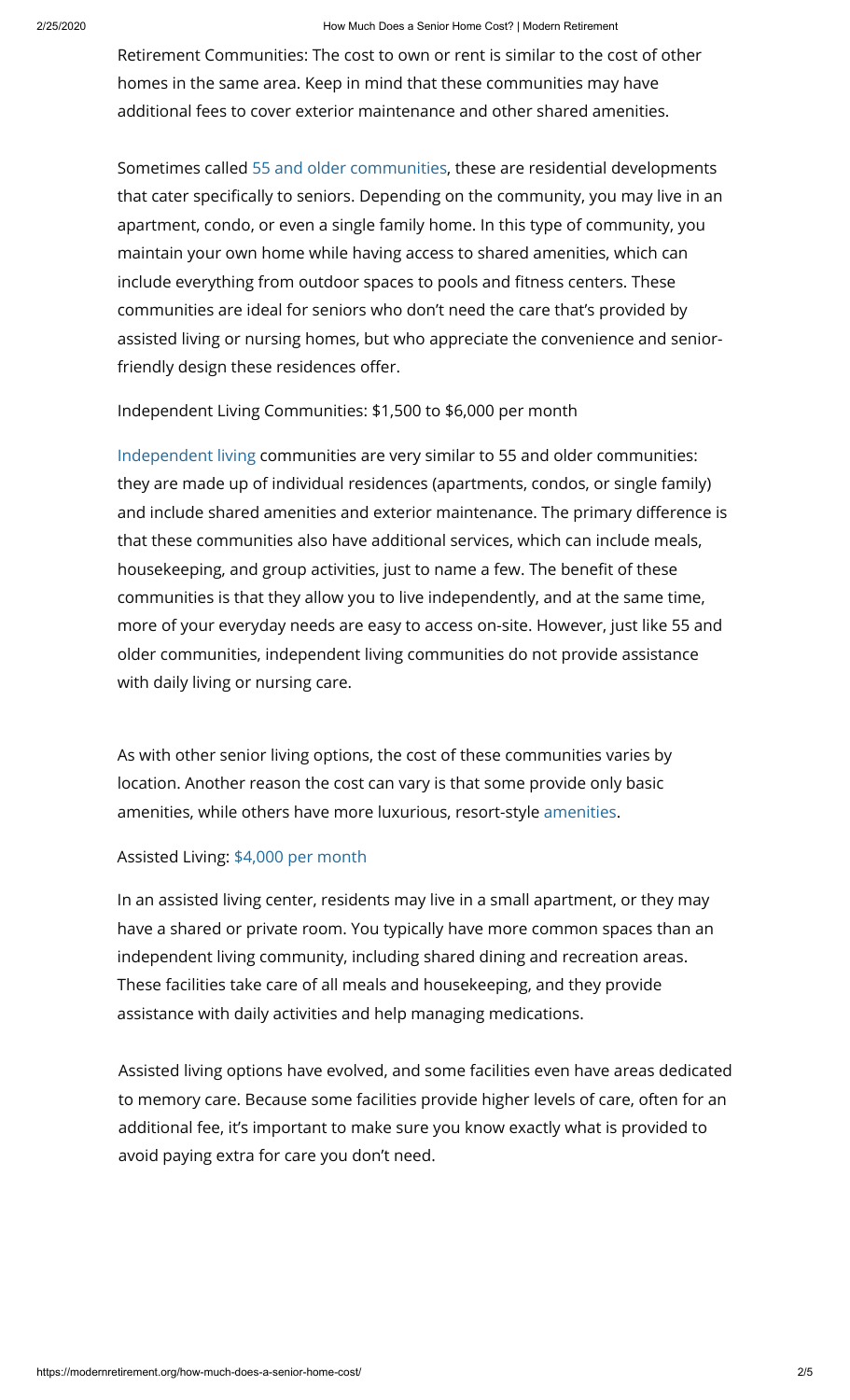#### 2/25/2020 How Much Does a Senior Home Cost? | Modern Retirement

Retirement Communities: The cost to own or rent is similar to the cost of other homes in the same area. Keep in mind that these communities may have additional fees to cover exterior maintenance and other shared amenities.

[Sometimes called 5](https://www.googleadservices.com/pagead/aclk?sa=L&ai=CT9P0oDtVXrjfMJHV-QOR45noCqTKtaxb3fma-PIK3tkeEAEgxs34bWDJnuSM5KTAE6AB7O6_oAPIAQaoAwHIA8MEqgTtAU_QIdMHriWLzH4MTM3wYv5ssCYH-SAT0lI_J5CYKl26s0ANoEo9vbIqCv3ABOv1Mti7brRndC6cMqfCyfbCzMUpKnlEORUlPfBSA5GRXvbC5KApI7_g13J1NIuX6js2YJwQLNKH8iHcXkd8NaXfhtwuQDIT77lf0wB1sCIbQ-mAod1Sih2_lWxLKgi0HNzHk-_C87eXYumRLcDzHJpMgsjKKPXL8DpoiYCg1E8z1GN8LXJ1e2V4C_0I7yUhvewCin_sWHGhIPWBMux9474keWnpEJ_BU9QSA2uAXBVpg8zsafK96yGTUMCCFiN3NsAE9LXu5LACoAY3gAf8kMBfqAeOzhuoB9XJG6gHk9gbqAe6BqgH8tkbqAemvhuoB-zVG6gH89EbqAfs1RuoB8LaG9gHAdIIBwiAYRABGB6xCVfJCLAoo94kgAoBmAsByAsB2BMMiBQB&ae=1&num=1&cid=CAASEuRorDL9raAkDcUxjWm7okoT6Q&sig=AOD64_2nLyubtHmjeism4aMuhliFH6O6bA&client=ca-pub-4308743993002266&nb=9&adurl=https://quickwaystosave.com/trending/often-forgotten-senior-discounts.php%3Fgclid%3DEAIaIQobChMIuK_p6IDt5wIVkWp-Ch2RcQatEAEYASAAEgLFcfD_BwE)[5 and older communities](https://www.bankrate.com/finance/senior-living/senior-housing-options-1.aspx#slide=2)[, t](https://www.googleadservices.com/pagead/aclk?sa=L&ai=CT9P0oDtVXrjfMJHV-QOR45noCqTKtaxb3fma-PIK3tkeEAEgxs34bWDJnuSM5KTAE6AB7O6_oAPIAQaoAwHIA8MEqgTtAU_QIdMHriWLzH4MTM3wYv5ssCYH-SAT0lI_J5CYKl26s0ANoEo9vbIqCv3ABOv1Mti7brRndC6cMqfCyfbCzMUpKnlEORUlPfBSA5GRXvbC5KApI7_g13J1NIuX6js2YJwQLNKH8iHcXkd8NaXfhtwuQDIT77lf0wB1sCIbQ-mAod1Sih2_lWxLKgi0HNzHk-_C87eXYumRLcDzHJpMgsjKKPXL8DpoiYCg1E8z1GN8LXJ1e2V4C_0I7yUhvewCin_sWHGhIPWBMux9474keWnpEJ_BU9QSA2uAXBVpg8zsafK96yGTUMCCFiN3NsAE9LXu5LACoAY3gAf8kMBfqAeOzhuoB9XJG6gHk9gbqAe6BqgH8tkbqAemvhuoB-zVG6gH89EbqAfs1RuoB8LaG9gHAdIIBwiAYRABGB6xCVfJCLAoo94kgAoBmAsByAsB2BMMiBQB&ae=1&num=1&cid=CAASEuRorDL9raAkDcUxjWm7okoT6Q&sig=AOD64_2nLyubtHmjeism4aMuhliFH6O6bA&client=ca-pub-4308743993002266&nb=9&adurl=https://quickwaystosave.com/trending/often-forgotten-senior-discounts.php%3Fgclid%3DEAIaIQobChMIuK_p6IDt5wIVkWp-Ch2RcQatEAEYASAAEgLFcfD_BwE)hese are residential developments that cater specifically to seniors. Depending on [the community, you may live in an](https://www.googleadservices.com/pagead/aclk?sa=L&ai=CT9P0oDtVXrjfMJHV-QOR45noCqTKtaxb3fma-PIK3tkeEAEgxs34bWDJnuSM5KTAE6AB7O6_oAPIAQaoAwHIA8MEqgTtAU_QIdMHriWLzH4MTM3wYv5ssCYH-SAT0lI_J5CYKl26s0ANoEo9vbIqCv3ABOv1Mti7brRndC6cMqfCyfbCzMUpKnlEORUlPfBSA5GRXvbC5KApI7_g13J1NIuX6js2YJwQLNKH8iHcXkd8NaXfhtwuQDIT77lf0wB1sCIbQ-mAod1Sih2_lWxLKgi0HNzHk-_C87eXYumRLcDzHJpMgsjKKPXL8DpoiYCg1E8z1GN8LXJ1e2V4C_0I7yUhvewCin_sWHGhIPWBMux9474keWnpEJ_BU9QSA2uAXBVpg8zsafK96yGTUMCCFiN3NsAE9LXu5LACoAY3gAf8kMBfqAeOzhuoB9XJG6gHk9gbqAe6BqgH8tkbqAemvhuoB-zVG6gH89EbqAfs1RuoB8LaG9gHAdIIBwiAYRABGB6xCVfJCLAoo94kgAoBmAsByAsB2BMMiBQB&ae=1&num=1&cid=CAASEuRorDL9raAkDcUxjWm7okoT6Q&sig=AOD64_2nLyubtHmjeism4aMuhliFH6O6bA&client=ca-pub-4308743993002266&nb=0&adurl=https://quickwaystosave.com/trending/often-forgotten-senior-discounts.php%3Fgclid%3DEAIaIQobChMIuK_p6IDt5wIVkWp-Ch2RcQatEAEYASAAEgLFcfD_BwE) apartment, condo, or even a single family home. In this type of community, you maintain your own home while having access to shared amenities, which can include everything from outdoor spaces to pools and fitness centers. These communities are ideal for seniors who don't need the care that's provided by assisted living or nursing homes, but who appreciate the convenience and seniorfriendly design these residences offer.

Independent Living Communities: \$1,500 to \$6,000 per month

[Independent living](https://www.bankrate.com/finance/senior-living/senior-housing-options-1.aspx#slide=3) communities are very similar to 55 and older communities: they are made up of individual residences (apartments, condos, or single family) and include shared amenities and exterior maintenance. The primary difference is that these communities also have additional services, which can include meals, housekeeping, and group activities, just to name a few. The benefit of these communities is that they allow you to live independently, and at the same time, more of your everyday needs are easy to access on-site. However, just like 55 and older communities, independent living communities do not provide assistance with daily living or nursing care.

As with other senior living options, the cost of these communities varies by location. Another reason the cost can vary is that some provide only basic amenities, while others have more luxurious, resort-style [amenities](https://www.aplaceformom.com/planning-and-advice/articles/retirement-living-costs).

#### Assisted Living: [\\$4,000 per month](https://www.genworth.com/aging-and-you/finances/cost-of-care.html)

[In an assisted living center, residents may live](https://www.googleadservices.com/pagead/aclk?sa=L&ai=CppJgoDtVXpPwMMPy-gPeyauIB470i4hbhbmo_OgK4t_104wOEAEgxs34bWDJnuSM5KTAE6AB5Kez7ALIAQaoAwHIA8MEqgTxAU_QJuJOuL5uIhyyIw_wl6_xiGEmTZ623HeqwKp6ZX-XXnJ2iYHueynYnmezc5MT27J0vOJIaThQ6j3eiFdUP11UCPQTaVGBUYo3duEMSF5Cm0p0LZiiJIapsu_NVKye_4wRruAsc0ET8TD2mYPSpCF_FYlaDx53ceLhCZvBSFv6j1nYVFbehfri9qWIvWzsdHxXdIqRaNQQhL2Fm6C6ZXsqEz4uWwcRjQPMorfbTympI-BoN5Kay2ni8TVP8pLnCksG7xa4_gk6I90-0u0gnhSdh24S_clZOaEA2zfpvbqj5R3ENmj92bNNqEzIMNUMToDABNLl5anKAqAGN4AHhNjMkwGoB47OG6gH1ckbqAeT2BuoB7oGqAfy2RuoB6a-G6gH7NUbqAfz0RuoB-zVG6gHwtob2AcB0ggHCIBhEAEYHrEJeLf3d-eo1auACgGYCwHICwHYEww&ae=1&num=1&cid=CAASEuRoL7kHRyBSW4JTdhLYlcgkmg&sig=AOD64_2H_SyzhT3LlWMbyU8nZG0RO6BrjA&client=ca-pub-4308743993002266&nb=9&adurl=https://www.bostonbrainscience.com/os/3foods.php%3Fgclid%3DEAIaIQobChMIk8Dp6IDt5wIVQ7l-Ch3e5ApxEAEYASAAEgIe8_D_BwE) in a small apartment, or they may have a shared or private room. You typically hav[e more common](https://adssettings.google.com/whythisad?reasons=AB3afGEAAAToW1tbW251bGwsWzIsMTMsMzddLG51bGwsbnVsbCx0cnVlXSxbbnVsbCwiaHR0cHM6Ly9nb29nbGVhZHMuZy5kb3VibGVjbGljay5uZXQvcGFnZWFkL2NvbnZlcnNpb24vP2FpPUNwcEpnb0R0VlhwUHdNTVB5LWdQZXlhdUlCNDcwaTRoYmhibW9fT2dLNHRfMTA0d09FQUVneHMzNGJXREpudVNNNUtUQUU2QUI1S2V6N0FMSUFRYW9Bd0hJQThNRXFnVHhBVV9RSnVKT3VMNXVJaHl5SXdfd2w2X3hpR0VtVFo2MjNIZXF3S3A2WlgtWFhuSjJpWUh1ZXluWW5tZXpjNU1UMjdKMHZPSklhVGhRNmozZWlGZFVQMTFVQ1BRVGFWR0JVWW8zZHVFTVNGNUNtMHAwTFppaUpJYXBzdV9OVkt5ZV80d1JydUFzYzBFVDhURDJtWVBTcENGX0ZZbGFEeDUzY2VMaENadkJTRnY2ajFuWVZGYmVoZnJpOXFXSXZXenNkSHhYZElxUmFOUVFoTDJGbTZDNlpYc3FFejR1V3djUmpRUE1vcmZiVHltcEktQm9ONUtheTJuaThUVlA4cExuQ2tzRzd4YTRfZ2s2STkwLTB1MGduaFNkaDI0U19jbFpPYUVBMnpmcHZicWo1UjNFTm1qOTJiTk5xRXpJTU5VTVRvREFCTkxsNWFuS0FxQUdONEFIaE5qTWt3R29CNDdPRzZnSDFja2JxQWVUMkJ1b0I3b0dxQWZ5MlJ1b0I2YS1HNmdIN05VYnFBZnowUnVvQi16Vkc2Z0h3dG9iMkFjQjBnZ0hDSUJoRUFFWUhyRUplTGYzZC1lbzFhdUFDZ0dZQ3dISUN3SFlFd3dcdTAwMjZzaWdoPVlrSjE2d3RpYk1jXHUwMDI2Y2lkPUNBUVNLUUR3eTlJWld3UTIwZkJEcTQ2Y0Y0cmNkdlBuRjVmRmJ0bXdfdm9fQlJSanJaQVBMaHJKRHlLVCIsW251bGwsbnVsbCxudWxsLCJodHRwczovL2Rpc3BsYXlhZHMtZm9ybWF0cy5nb29nbGV1c2VyY29udGVudC5jb20vYWRzL3ByZXZpZXcvY29udGVudC5qcz9jbGllbnQ9d3RhXHUwMDI2b2JmdXNjYXRlZEN1c3RvbWVySWQ9NTA4MTYzMTg2NFx1MDAyNmNyZWF0aXZlSWQ9NDEwOTY3NTY0NDM0XHUwMDI2dmVyc2lvbklkPTBcdTAwMjZhZEdyb3VwQ3JlYXRpdmVJZD0zNzE3NzUzODA2MTNcdTAwMjZodG1sUGFyZW50SWQ9cHJldi0wXHUwMDI2aGVpZ2h0PTBcdTAwMjZ3aWR0aD0wXHUwMDI2c2lnPUFDaVZCX3l0TDZNbjY3X2p5WE5EVEJUSXBuWG1wRWdPMEEiXSxudWxsLG51bGwsMiwiWE5CVDlmRVVFd2NJaGJtb19PZ0tFUGUzMWRBSEdMaXM2cE1CSWhaaWIzTjBiMjVpY21GcGJuTmphV1Z1WTJVdVkyOXRNZ2dJQlJNWTdxMERGRUlYWTJFdGNIVmlMVFF6TURnM05ETTVPVE13TURJeU5qWklFbGczWU93RGNBRjZCUWdERWdFZWdnRUotNnVpMmdTbXBQQWkiLCIyMDQ4MjIwMTUxIl1dXSxbMiwxXV0jA48VhN8qjCYA_MtONRVuHK47yfT7E9nKzpzG8929WvyJQGWuJM_RB8dxQ2-_9EVY1qtfQ6KHJ9EOhjaQh6ipgFD8L9I9vKvxTwNuVUiDPsk0CVKetau44nGqz-stAh8Os-gbsmybIjTMcvzX_QBoO9QYeUsjzHVrXVjx8qJ8L62c3PkpiP__15yy-rNsgWBJP4DzNt2JOgpEipD7aS3iWiZ7Gewn_7uthR36PZ6VtdkhUR0OE8uC03K4X6j-yH0m_1W8HeuMo_cCcnM8YqyOX8dkNTDRzMMonBBIe05-C9ok20HAfuRM-_3LYR7C96PUryGrPfLOXPfRkCuChdog,3ATV36s9I3aJBEE89ZDoCQ&source=display) spaces than an independent living community, including shared dining and recreation areas. These facilities take care of all meals and house[keeping, and they pr](https://www.googleadservices.com/pagead/aclk?sa=L&ai=CppJgoDtVXpPwMMPy-gPeyauIB470i4hbhbmo_OgK4t_104wOEAEgxs34bWDJnuSM5KTAE6AB5Kez7ALIAQaoAwHIA8MEqgTxAU_QJuJOuL5uIhyyIw_wl6_xiGEmTZ623HeqwKp6ZX-XXnJ2iYHueynYnmezc5MT27J0vOJIaThQ6j3eiFdUP11UCPQTaVGBUYo3duEMSF5Cm0p0LZiiJIapsu_NVKye_4wRruAsc0ET8TD2mYPSpCF_FYlaDx53ceLhCZvBSFv6j1nYVFbehfri9qWIvWzsdHxXdIqRaNQQhL2Fm6C6ZXsqEz4uWwcRjQPMorfbTympI-BoN5Kay2ni8TVP8pLnCksG7xa4_gk6I90-0u0gnhSdh24S_clZOaEA2zfpvbqj5R3ENmj92bNNqEzIMNUMToDABNLl5anKAqAGN4AHhNjMkwGoB47OG6gH1ckbqAeT2BuoB7oGqAfy2RuoB6a-G6gH7NUbqAfz0RuoB-zVG6gHwtob2AcB0ggHCIBhEAEYHrEJeLf3d-eo1auACgGYCwHICwHYEww&ae=1&num=1&cid=CAASEuRoL7kHRyBSW4JTdhLYlcgkmg&sig=AOD64_2H_SyzhT3LlWMbyU8nZG0RO6BrjA&client=ca-pub-4308743993002266&nb=1&adurl=https://www.bostonbrainscience.com/os/3foods.php%3Fgclid%3DEAIaIQobChMIk8Dp6IDt5wIVQ7l-Ch3e5ApxEAEYASAAEgIe8_D_BwE)ovide assistance with daily activities and help managi[ng medicatio](https://www.googleadservices.com/pagead/aclk?sa=L&ai=CppJgoDtVXpPwMMPy-gPeyauIB470i4hbhbmo_OgK4t_104wOEAEgxs34bWDJnuSM5KTAE6AB5Kez7ALIAQaoAwHIA8MEqgTxAU_QJuJOuL5uIhyyIw_wl6_xiGEmTZ623HeqwKp6ZX-XXnJ2iYHueynYnmezc5MT27J0vOJIaThQ6j3eiFdUP11UCPQTaVGBUYo3duEMSF5Cm0p0LZiiJIapsu_NVKye_4wRruAsc0ET8TD2mYPSpCF_FYlaDx53ceLhCZvBSFv6j1nYVFbehfri9qWIvWzsdHxXdIqRaNQQhL2Fm6C6ZXsqEz4uWwcRjQPMorfbTympI-BoN5Kay2ni8TVP8pLnCksG7xa4_gk6I90-0u0gnhSdh24S_clZOaEA2zfpvbqj5R3ENmj92bNNqEzIMNUMToDABNLl5anKAqAGN4AHhNjMkwGoB47OG6gH1ckbqAeT2BuoB7oGqAfy2RuoB6a-G6gH7NUbqAfz0RuoB-zVG6gHwtob2AcB0ggHCIBhEAEYHrEJeLf3d-eo1auACgGYCwHICwHYEww&ae=1&num=1&cid=CAASEuRoL7kHRyBSW4JTdhLYlcgkmg&sig=AOD64_2H_SyzhT3LlWMbyU8nZG0RO6BrjA&client=ca-pub-4308743993002266&nb=8&adurl=https://www.bostonbrainscience.com/os/3foods.php%3Fgclid%3DEAIaIQobChMIk8Dp6IDt5wIVQ7l-Ch3e5ApxEAEYASAAEgIe8_D_BwE)ns.

Assisted living options have evolved, and some facilities even have areas dedicated to memory care. Because some facilities provide higher levels of care, often for an additional fee, it's important to make sure you know exactly what is provided to avoid paying extra for care you don't need.